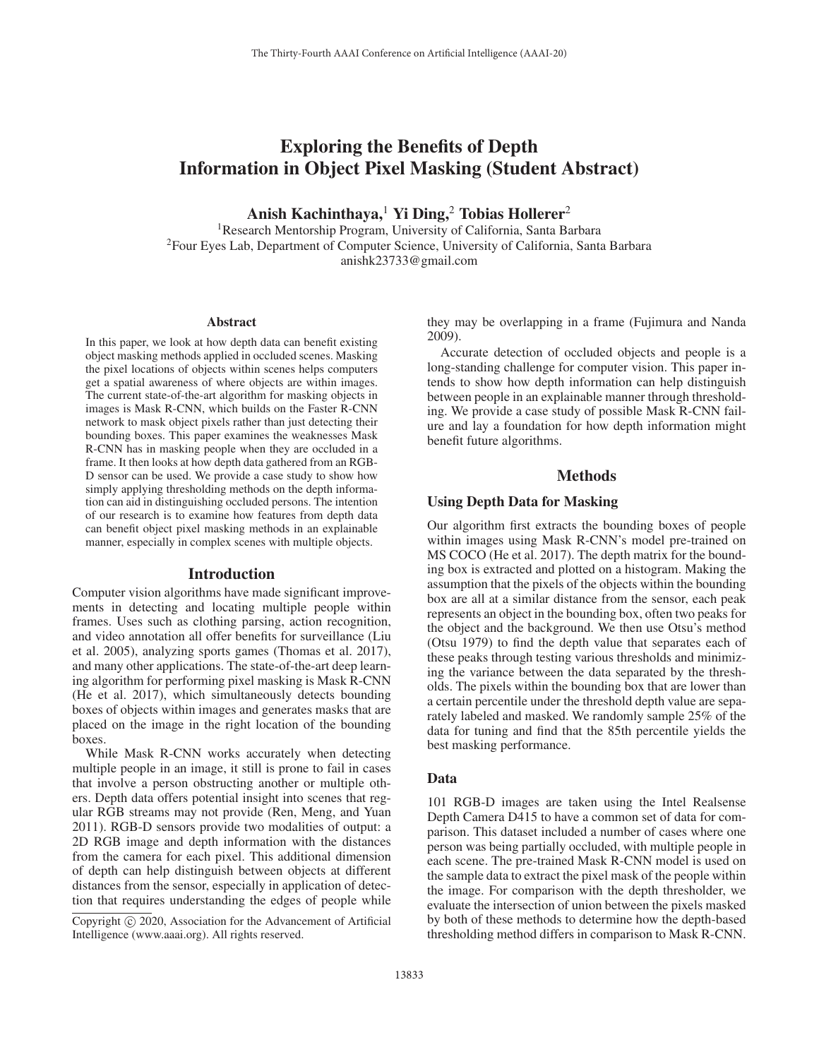# Exploring the Benefits of Depth Information in Object Pixel Masking (Student Abstract)

Anish Kachinthaya,<sup>1</sup> Yi Ding,<sup>2</sup> Tobias Hollerer<sup>2</sup>

<sup>1</sup>Research Mentorship Program, University of California, Santa Barbara 2Four Eyes Lab, Department of Computer Science, University of California, Santa Barbara anishk23733@gmail.com

#### Abstract

In this paper, we look at how depth data can benefit existing object masking methods applied in occluded scenes. Masking the pixel locations of objects within scenes helps computers get a spatial awareness of where objects are within images. The current state-of-the-art algorithm for masking objects in images is Mask R-CNN, which builds on the Faster R-CNN network to mask object pixels rather than just detecting their bounding boxes. This paper examines the weaknesses Mask R-CNN has in masking people when they are occluded in a frame. It then looks at how depth data gathered from an RGB-D sensor can be used. We provide a case study to show how simply applying thresholding methods on the depth information can aid in distinguishing occluded persons. The intention of our research is to examine how features from depth data can benefit object pixel masking methods in an explainable manner, especially in complex scenes with multiple objects.

#### Introduction

Computer vision algorithms have made significant improvements in detecting and locating multiple people within frames. Uses such as clothing parsing, action recognition, and video annotation all offer benefits for surveillance (Liu et al. 2005), analyzing sports games (Thomas et al. 2017), and many other applications. The state-of-the-art deep learning algorithm for performing pixel masking is Mask R-CNN (He et al. 2017), which simultaneously detects bounding boxes of objects within images and generates masks that are placed on the image in the right location of the bounding boxes.

While Mask R-CNN works accurately when detecting multiple people in an image, it still is prone to fail in cases that involve a person obstructing another or multiple others. Depth data offers potential insight into scenes that regular RGB streams may not provide (Ren, Meng, and Yuan 2011). RGB-D sensors provide two modalities of output: a 2D RGB image and depth information with the distances from the camera for each pixel. This additional dimension of depth can help distinguish between objects at different distances from the sensor, especially in application of detection that requires understanding the edges of people while they may be overlapping in a frame (Fujimura and Nanda 2009).

Accurate detection of occluded objects and people is a long-standing challenge for computer vision. This paper intends to show how depth information can help distinguish between people in an explainable manner through thresholding. We provide a case study of possible Mask R-CNN failure and lay a foundation for how depth information might benefit future algorithms.

### Methods

# Using Depth Data for Masking

Our algorithm first extracts the bounding boxes of people within images using Mask R-CNN's model pre-trained on MS COCO (He et al. 2017). The depth matrix for the bounding box is extracted and plotted on a histogram. Making the assumption that the pixels of the objects within the bounding box are all at a similar distance from the sensor, each peak represents an object in the bounding box, often two peaks for the object and the background. We then use Otsu's method (Otsu 1979) to find the depth value that separates each of these peaks through testing various thresholds and minimizing the variance between the data separated by the thresholds. The pixels within the bounding box that are lower than a certain percentile under the threshold depth value are separately labeled and masked. We randomly sample 25% of the data for tuning and find that the 85th percentile yields the best masking performance.

#### Data

101 RGB-D images are taken using the Intel Realsense Depth Camera D415 to have a common set of data for comparison. This dataset included a number of cases where one person was being partially occluded, with multiple people in each scene. The pre-trained Mask R-CNN model is used on the sample data to extract the pixel mask of the people within the image. For comparison with the depth thresholder, we evaluate the intersection of union between the pixels masked by both of these methods to determine how the depth-based thresholding method differs in comparison to Mask R-CNN.

Copyright  $\odot$  2020, Association for the Advancement of Artificial Intelligence (www.aaai.org). All rights reserved.